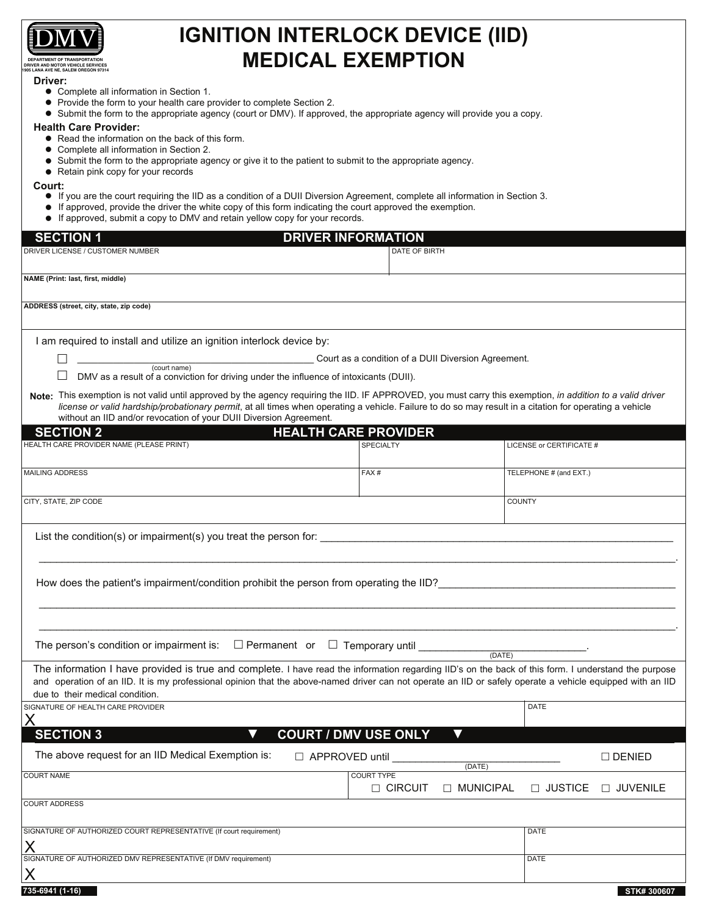

**DEPARTMENT OF TRANSPORTATION DRIVER AND MOTOR VEHICLE SERVICES 1905 LANA AVE NE, SALEM OREGON 97314**

#### **Driver:**

- Complete all information in Section 1.
- Provide the form to your health care provider to complete Section 2.
- Submit the form to the appropriate agency (court or DMV). If approved, the appropriate agency will provide you a copy.

**IGNITION INTERLOCK DEVICE (IID) MEDICAL EXEMPTION** 

### **Health Care Provider:**

- Read the information on the back of this form.
- Complete all information in Section 2.
- Submit the form to the appropriate agency or give it to the patient to submit to the appropriate agency.
- Retain pink copy for your records

#### **Court:**

- If you are the court requiring the IID as a condition of a DUII Diversion Agreement, complete all information in Section 3.
- If approved, provide the driver the white copy of this form indicating the court approved the exemption.
- If approved, submit a copy to DMV and retain yellow copy for your records.  $\bullet$

| $\bullet$ if approved, submit a copy to DMV and retain yellow copy for your records.                                                                                                                                                                                                                                                                                                         |                                                     |             |                          |                  |
|----------------------------------------------------------------------------------------------------------------------------------------------------------------------------------------------------------------------------------------------------------------------------------------------------------------------------------------------------------------------------------------------|-----------------------------------------------------|-------------|--------------------------|------------------|
| <b>SECTION 1</b><br><b>DRIVER INFORMATION</b>                                                                                                                                                                                                                                                                                                                                                |                                                     |             |                          |                  |
| DRIVER LICENSE / CUSTOMER NUMBER                                                                                                                                                                                                                                                                                                                                                             | DATE OF BIRTH                                       |             |                          |                  |
| NAME (Print: last, first, middle)                                                                                                                                                                                                                                                                                                                                                            |                                                     |             |                          |                  |
| ADDRESS (street, city, state, zip code)                                                                                                                                                                                                                                                                                                                                                      |                                                     |             |                          |                  |
| I am required to install and utilize an ignition interlock device by:                                                                                                                                                                                                                                                                                                                        |                                                     |             |                          |                  |
| $\sqrt{2}$ (court name)                                                                                                                                                                                                                                                                                                                                                                      | Court as a condition of a DUII Diversion Agreement. |             |                          |                  |
| DMV as a result of a conviction for driving under the influence of intoxicants (DUII).                                                                                                                                                                                                                                                                                                       |                                                     |             |                          |                  |
| Note: This exemption is not valid until approved by the agency requiring the IID. IF APPROVED, you must carry this exemption, in addition to a valid driver<br>license or valid hardship/probationary permit, at all times when operating a vehicle. Failure to do so may result in a citation for operating a vehicle<br>without an IID and/or revocation of your DUII Diversion Agreement. |                                                     |             |                          |                  |
| <b>SECTION 2</b><br><b>HEALTH CARE PROVIDER</b>                                                                                                                                                                                                                                                                                                                                              |                                                     |             |                          |                  |
| HEALTH CARE PROVIDER NAME (PLEASE PRINT)                                                                                                                                                                                                                                                                                                                                                     | SPECIALTY                                           |             | LICENSE or CERTIFICATE # |                  |
| <b>MAILING ADDRESS</b>                                                                                                                                                                                                                                                                                                                                                                       | FAX#                                                |             | TELEPHONE # (and EXT.)   |                  |
| CITY, STATE, ZIP CODE                                                                                                                                                                                                                                                                                                                                                                        |                                                     |             | <b>COUNTY</b>            |                  |
|                                                                                                                                                                                                                                                                                                                                                                                              |                                                     |             |                          |                  |
| How does the patient's impairment/condition prohibit the person from operating the IID?                                                                                                                                                                                                                                                                                                      |                                                     |             |                          |                  |
|                                                                                                                                                                                                                                                                                                                                                                                              |                                                     |             |                          |                  |
| The information I have provided is true and complete. I have read the information regarding IID's on the back of this form. I understand the purpose<br>and operation of an IID. It is my professional opinion that the above-named driver can not operate an IID or safely operate a vehicle equipped with an IID<br>due to their medical condition.                                        |                                                     |             |                          |                  |
| SIGNATURE OF HEALTH CARE PROVIDER                                                                                                                                                                                                                                                                                                                                                            |                                                     |             | DATE                     |                  |
| <b>SECTION 3</b>                                                                                                                                                                                                                                                                                                                                                                             | <b>COURT / DMV USE ONLY</b>                         |             |                          |                  |
| The above request for an IID Medical Exemption is:<br>□ APPROVED until                                                                                                                                                                                                                                                                                                                       |                                                     | (DATE)      |                          | $\square$ DENIED |
| <b>COURT NAME</b>                                                                                                                                                                                                                                                                                                                                                                            | <b>COURT TYPE</b><br>□ CIRCUIT                      | □ MUNICIPAL | □ JUSTICE                | □ JUVENILE       |
| <b>COURT ADDRESS</b>                                                                                                                                                                                                                                                                                                                                                                         |                                                     |             |                          |                  |
| SIGNATURE OF AUTHORIZED COURT REPRESENTATIVE (If court requirement)                                                                                                                                                                                                                                                                                                                          |                                                     |             | DATE                     |                  |
| X                                                                                                                                                                                                                                                                                                                                                                                            |                                                     |             |                          |                  |
| SIGNATURE OF AUTHORIZED DMV REPRESENTATIVE (If DMV requirement)                                                                                                                                                                                                                                                                                                                              |                                                     |             | DATE                     |                  |
| X<br>735-6941 (1-16)                                                                                                                                                                                                                                                                                                                                                                         |                                                     |             |                          | STK# 300607      |
|                                                                                                                                                                                                                                                                                                                                                                                              |                                                     |             |                          |                  |